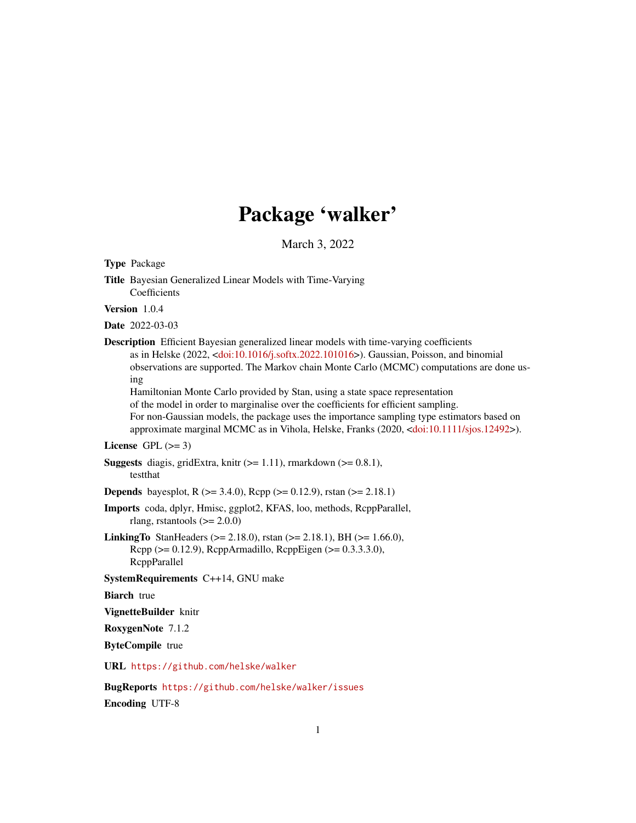# Package 'walker'

March 3, 2022

<span id="page-0-0"></span>

BugReports <https://github.com/helske/walker/issues> Encoding UTF-8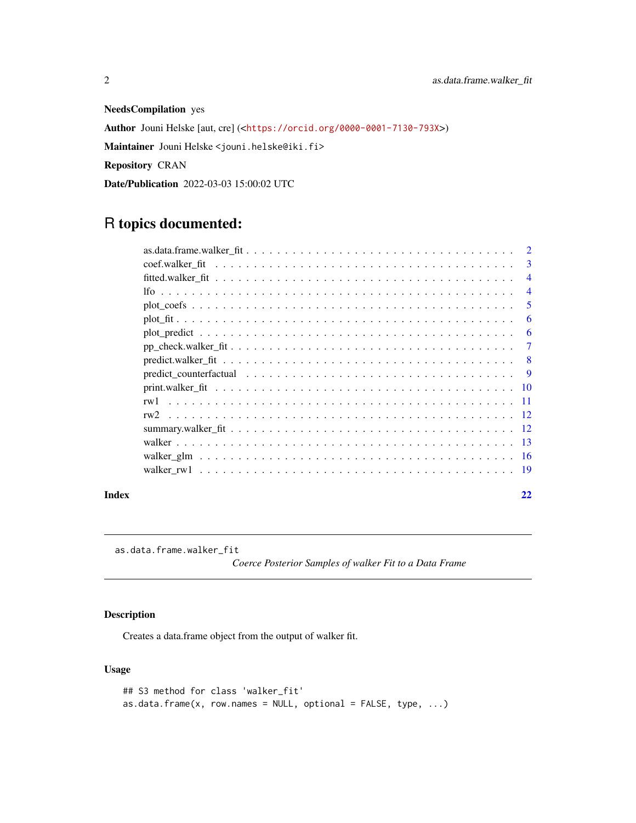<span id="page-1-0"></span>NeedsCompilation yes Author Jouni Helske [aut, cre] (<<https://orcid.org/0000-0001-7130-793X>>) Maintainer Jouni Helske <jouni.helske@iki.fi> Repository CRAN Date/Publication 2022-03-03 15:00:02 UTC

# R topics documented:

|       | 3              |
|-------|----------------|
|       | $\overline{4}$ |
|       | $\overline{4}$ |
|       | 5              |
|       | 6              |
|       | 6              |
|       | $\overline{7}$ |
|       |                |
|       |                |
|       |                |
|       |                |
|       |                |
|       |                |
|       |                |
|       |                |
|       |                |
| Index | 22             |

as.data.frame.walker\_fit

*Coerce Posterior Samples of walker Fit to a Data Frame*

# Description

Creates a data.frame object from the output of walker fit.

# Usage

```
## S3 method for class 'walker_fit'
as.data.frame(x, row.names = NULL, optional = FALSE, type, \dots)
```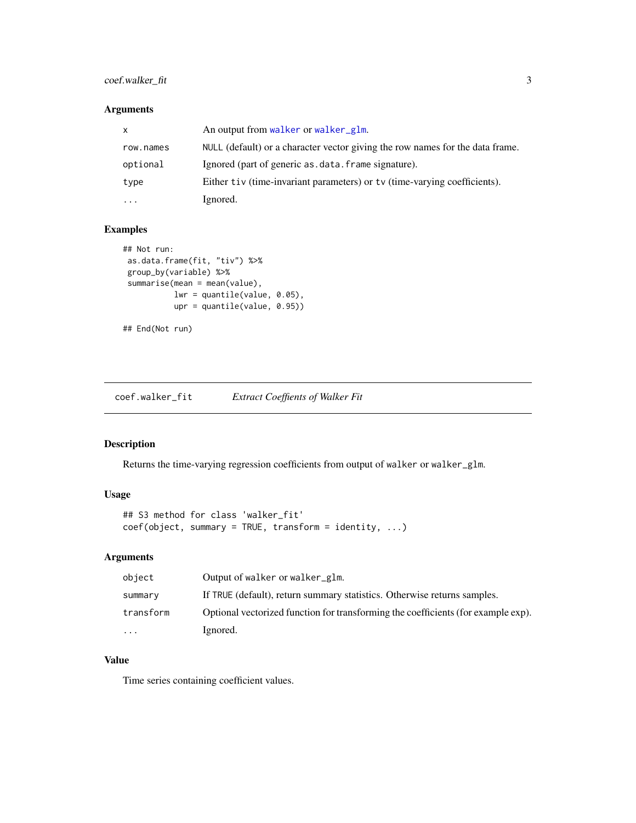# <span id="page-2-0"></span>coef.walker\_fit 3

# Arguments

| X         | An output from walker or walker_glm.                                          |
|-----------|-------------------------------------------------------------------------------|
| row.names | NULL (default) or a character vector giving the row names for the data frame. |
| optional  | Ignored (part of generic as data frame signature).                            |
| type      | Either tiv (time-invariant parameters) or ty (time-varying coefficients).     |
| .         | Ignored.                                                                      |

# Examples

```
## Not run:
as.data.frame(fit, "tiv") %>%
group_by(variable) %>%
summarise(mean = mean(value),
          lwr = quantile(value, 0.05),
          upr = quantile(value, 0.95))
## End(Not run)
```
coef.walker\_fit *Extract Coeffients of Walker Fit*

# Description

Returns the time-varying regression coefficients from output of walker or walker\_glm.

# Usage

```
## S3 method for class 'walker_fit'
coef(object, summary = TRUE, transform = identity, ...)
```
# Arguments

| object    | Output of walker or walker_glm.                                                   |
|-----------|-----------------------------------------------------------------------------------|
| summary   | If TRUE (default), return summary statistics. Otherwise returns samples.          |
| transform | Optional vectorized function for transforming the coefficients (for example exp). |
| $\cdots$  | Ignored.                                                                          |

# Value

Time series containing coefficient values.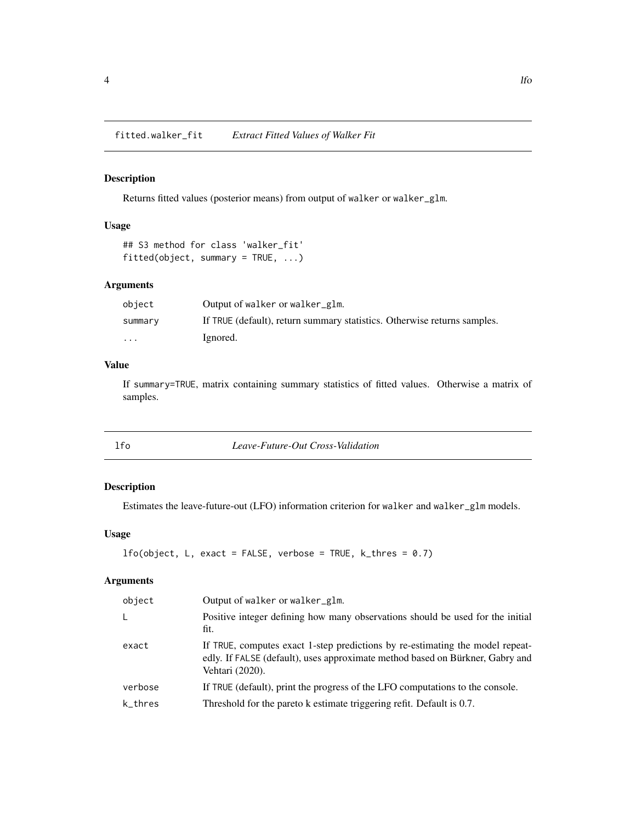#### <span id="page-3-0"></span>Description

Returns fitted values (posterior means) from output of walker or walker\_glm.

# Usage

```
## S3 method for class 'walker_fit'
fitted(object, summary = TRUE, ...)
```
#### Arguments

| object  | Output of walker or walker_glm.                                          |
|---------|--------------------------------------------------------------------------|
| summary | If TRUE (default), return summary statistics. Otherwise returns samples. |
| .       | Ignored.                                                                 |

#### Value

If summary=TRUE, matrix containing summary statistics of fitted values. Otherwise a matrix of samples.

lfo *Leave-Future-Out Cross-Validation*

#### Description

Estimates the leave-future-out (LFO) information criterion for walker and walker\_glm models.

# Usage

```
1fo(object, L, exact = FALSE, verbose = TRUE, k_thres = 0.7)
```

| Output of walker or walker_glm.                                                                                                                                                   |
|-----------------------------------------------------------------------------------------------------------------------------------------------------------------------------------|
| Positive integer defining how many observations should be used for the initial<br>fit.                                                                                            |
| If TRUE, computes exact 1-step predictions by re-estimating the model repeat-<br>edly. If FALSE (default), uses approximate method based on Bürkner, Gabry and<br>Vehtari (2020). |
| If TRUE (default), print the progress of the LFO computations to the console.                                                                                                     |
| Threshold for the pareto k estimate triggering refit. Default is 0.7.                                                                                                             |
|                                                                                                                                                                                   |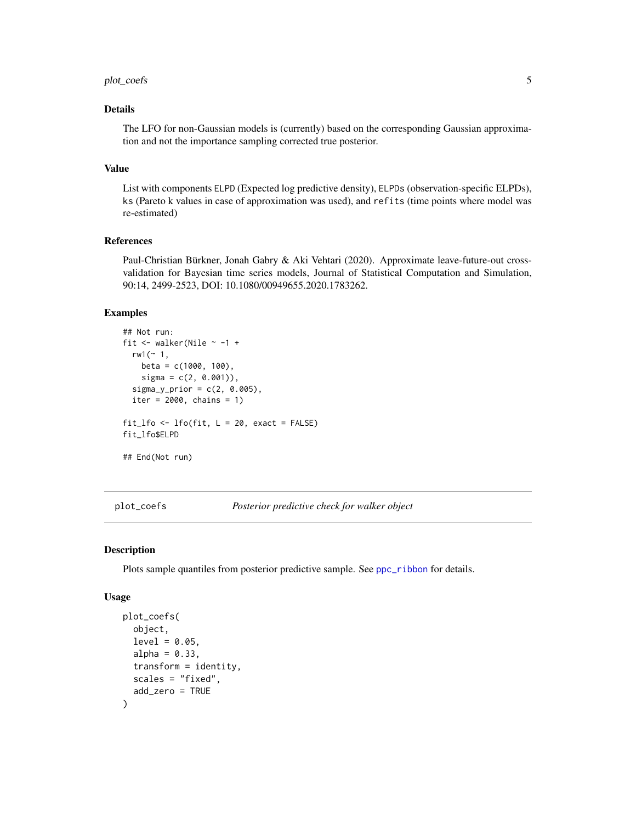# <span id="page-4-0"></span>plot\_coefs 5

#### Details

The LFO for non-Gaussian models is (currently) based on the corresponding Gaussian approximation and not the importance sampling corrected true posterior.

#### Value

List with components ELPD (Expected log predictive density), ELPDs (observation-specific ELPDs), ks (Pareto k values in case of approximation was used), and refits (time points where model was re-estimated)

#### References

Paul-Christian Bürkner, Jonah Gabry & Aki Vehtari (2020). Approximate leave-future-out crossvalidation for Bayesian time series models, Journal of Statistical Computation and Simulation, 90:14, 2499-2523, DOI: 10.1080/00949655.2020.1783262.

#### Examples

```
## Not run:
fit \le walker(Nile \sim -1 +
 rw1 (~1,beta = c(1000, 100),
   signa = c(2, 0.001)),signa_y_prior = c(2, 0.005),
 iter = 2000, chains = 1)
fit_lfo <- lfo(fit, L = 20, exact = FALSE)
fit_lfo$ELPD
## End(Not run)
```
plot\_coefs *Posterior predictive check for walker object*

#### Description

Plots sample quantiles from posterior predictive sample. See [ppc\\_ribbon](#page-0-0) for details.

#### Usage

```
plot_coefs(
  object,
  level = 0.05,
  alpha = 0.33,
  transform = identity,
  scales = "fixed",
  add_zero = TRUE
)
```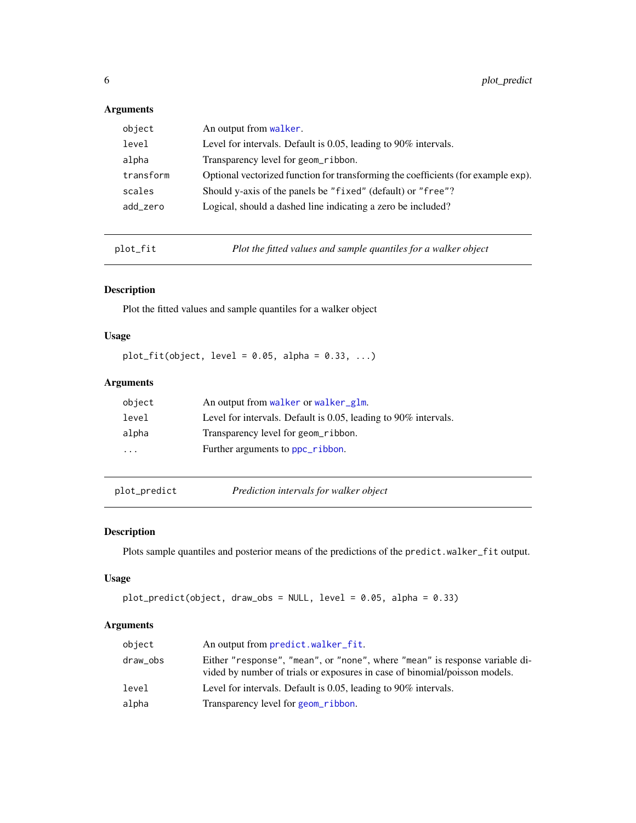# <span id="page-5-0"></span>Arguments

| object    | An output from walker.                                                            |
|-----------|-----------------------------------------------------------------------------------|
| level     | Level for intervals. Default is 0.05, leading to 90% intervals.                   |
| alpha     | Transparency level for geom_ribbon.                                               |
| transform | Optional vectorized function for transforming the coefficients (for example exp). |
| scales    | Should y-axis of the panels be "fixed" (default) or "free"?                       |
| add_zero  | Logical, should a dashed line indicating a zero be included?                      |
|           |                                                                                   |

plot\_fit *Plot the fitted values and sample quantiles for a walker object*

# Description

Plot the fitted values and sample quantiles for a walker object

#### Usage

plot\_fit(object, level =  $0.05$ , alpha =  $0.33$ , ...)

# Arguments

| Level for intervals. Default is 0.05, leading to 90% intervals. |
|-----------------------------------------------------------------|
|                                                                 |
|                                                                 |
|                                                                 |

<span id="page-5-1"></span>plot\_predict *Prediction intervals for walker object*

# Description

Plots sample quantiles and posterior means of the predictions of the predict.walker\_fit output.

# Usage

```
plot_predict(object, draw_obs = NULL, level = 0.05, alpha = 0.33)
```

| object   | An output from predict.walker_fit.                                                                                                                        |
|----------|-----------------------------------------------------------------------------------------------------------------------------------------------------------|
| draw_obs | Either "response", "mean", or "none", where "mean" is response variable di-<br>vided by number of trials or exposures in case of binomial/poisson models. |
| level    | Level for intervals. Default is 0.05, leading to 90% intervals.                                                                                           |
| alpha    | Transparency level for geom_ribbon.                                                                                                                       |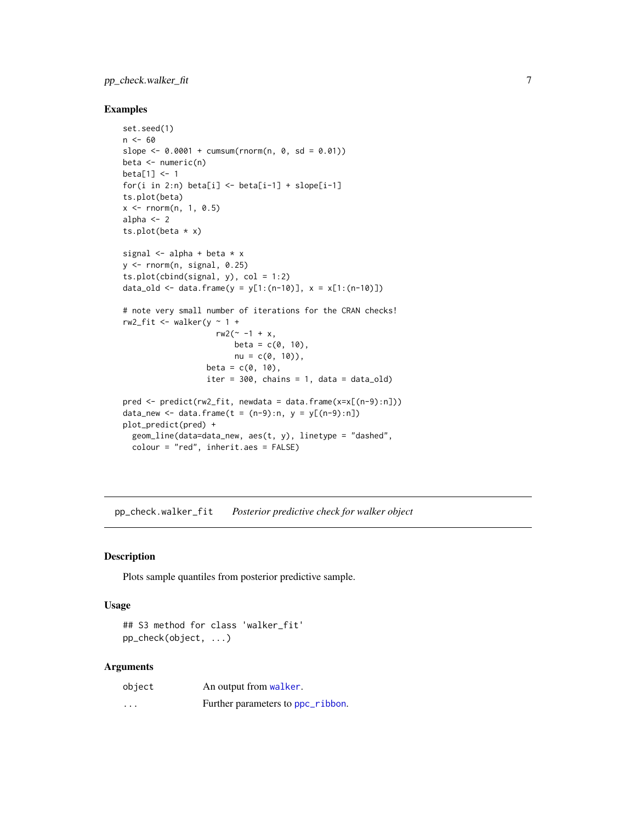# <span id="page-6-0"></span>pp\_check.walker\_fit 7

#### Examples

```
set.seed(1)
n < - 60slope \le -0.0001 + \text{cumsum}( \text{rnorm}(n, 0, \text{sd} = 0.01))beta \leq numeric(n)
beta[1] <- 1
for(i in 2:n) beta[i] <- beta[i-1] + slope[i-1]
ts.plot(beta)
x < - rnorm(n, 1, 0.5)alpha <-2ts.plot(beta * x)signal \leq alpha + beta * x
y \leftarrow \text{norm}(n, \text{signal}, 0.25)ts.plot(cbind(signal, y), col = 1:2)
data_old <- data.frame(y = y[1:(n-10)], x = x[1:(n-10)])
# note very small number of iterations for the CRAN checks!
rw2\_fit \leq - walker(y \sim 1 +rw2(~ -1 + x,
                         beta = c(0, 10),
                         nu = c(0, 10),
                   beta = c(0, 10),
                   iter = 300, chains = 1, data = data_old)
pred <- predict(rw2_fit, newdata = data.frame(x=x[(n-9):n]))
data_new <- data.frame(t = (n-9):n, y = y[(n-9):n])
plot_predict(pred) +
  geom_line(data=data_new, aes(t, y), linetype = "dashed",
  colour = "red", inherit.aes = FALSE)
```
pp\_check.walker\_fit *Posterior predictive check for walker object*

#### Description

Plots sample quantiles from posterior predictive sample.

#### Usage

## S3 method for class 'walker\_fit' pp\_check(object, ...)

| object   | An output from walker.            |
|----------|-----------------------------------|
| $\cdots$ | Further parameters to ppc_ribbon. |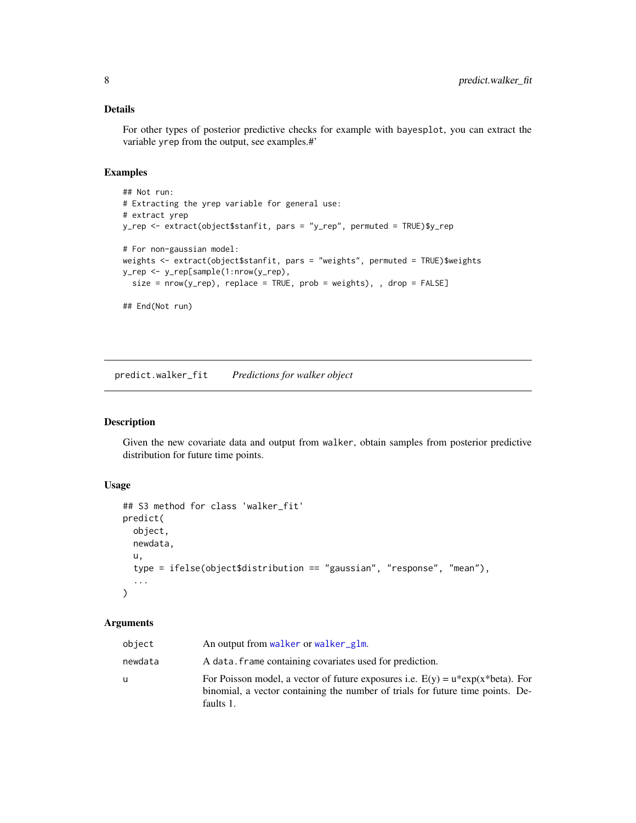#### <span id="page-7-0"></span>Details

For other types of posterior predictive checks for example with bayesplot, you can extract the variable yrep from the output, see examples.#'

#### Examples

```
## Not run:
# Extracting the yrep variable for general use:
# extract yrep
y_rep <- extract(object$stanfit, pars = "y_rep", permuted = TRUE)$y_rep
# For non-gaussian model:
weights <- extract(object$stanfit, pars = "weights", permuted = TRUE)$weights
y_rep <- y_rep[sample(1:nrow(y_rep),
  size = nrow(y_{rep}), replace = TRUE, prob = weights), , drop = FALSE]
## End(Not run)
```
<span id="page-7-1"></span>predict.walker\_fit *Predictions for walker object*

# Description

Given the new covariate data and output from walker, obtain samples from posterior predictive distribution for future time points.

# Usage

```
## S3 method for class 'walker_fit'
predict(
 object,
  newdata,
 u,
  type = ifelse(object$distribution == "gaussian", "response", "mean"),
  ...
)
```

| object  | An output from walker or walker glm.                                                                                                                                               |
|---------|------------------------------------------------------------------------------------------------------------------------------------------------------------------------------------|
| newdata | A data, frame containing covariates used for prediction.                                                                                                                           |
| u       | For Poisson model, a vector of future exposures i.e. $E(y) = u^*exp(x^*beta)$ . For<br>binomial, a vector containing the number of trials for future time points. De-<br>faults 1. |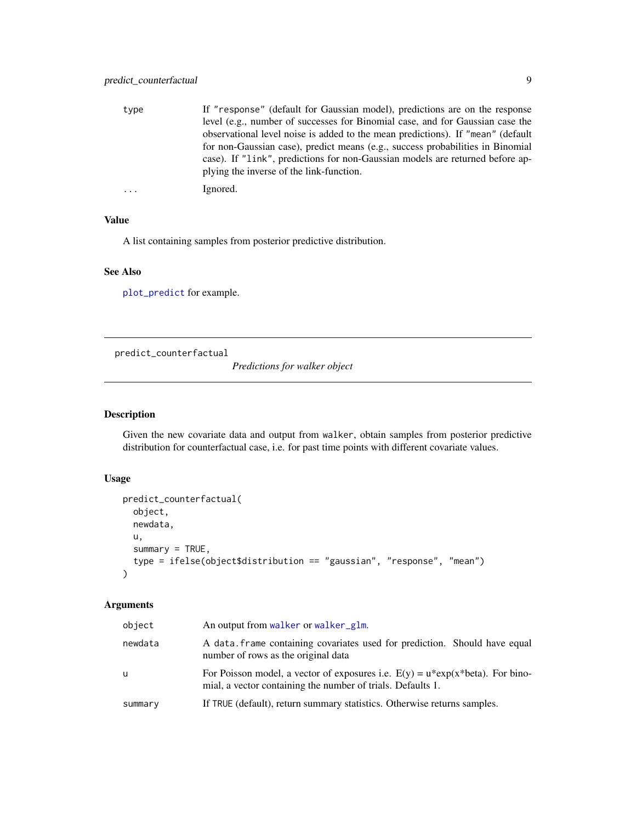<span id="page-8-0"></span>

| type | If "response" (default for Gaussian model), predictions are on the response     |
|------|---------------------------------------------------------------------------------|
|      | level (e.g., number of successes for Binomial case, and for Gaussian case the   |
|      | observational level noise is added to the mean predictions). If "mean" (default |
|      | for non-Gaussian case), predict means (e.g., success probabilities in Binomial  |
|      | case). If "link", predictions for non-Gaussian models are returned before ap-   |
|      | plying the inverse of the link-function.                                        |
|      | Ignored.                                                                        |

#### Value

A list containing samples from posterior predictive distribution.

#### See Also

[plot\\_predict](#page-5-1) for example.

predict\_counterfactual

*Predictions for walker object*

# Description

Given the new covariate data and output from walker, obtain samples from posterior predictive distribution for counterfactual case, i.e. for past time points with different covariate values.

#### Usage

```
predict_counterfactual(
  object,
 newdata,
 u,
  summary = TRUE,
  type = ifelse(object$distribution == "gaussian", "response", "mean")
\lambda
```

| object  | An output from walker or walker_glm.                                                                                                              |
|---------|---------------------------------------------------------------------------------------------------------------------------------------------------|
| newdata | A data frame containing covariates used for prediction. Should have equal<br>number of rows as the original data                                  |
| u       | For Poisson model, a vector of exposures i.e. $E(y) = u^*exp(x^*beta)$ . For bino-<br>mial, a vector containing the number of trials. Defaults 1. |
| summary | If TRUE (default), return summary statistics. Otherwise returns samples.                                                                          |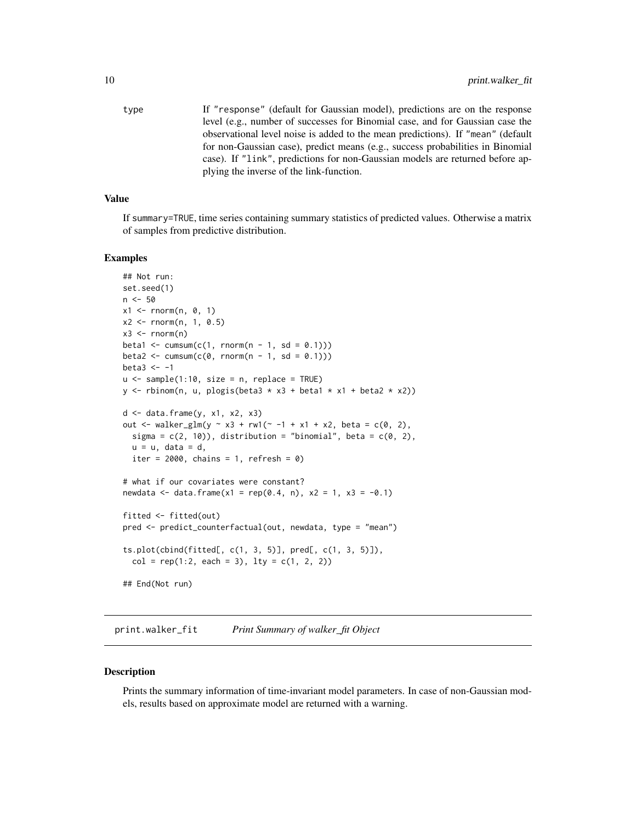<span id="page-9-0"></span>type If "response" (default for Gaussian model), predictions are on the response level (e.g., number of successes for Binomial case, and for Gaussian case the observational level noise is added to the mean predictions). If "mean" (default for non-Gaussian case), predict means (e.g., success probabilities in Binomial case). If "link", predictions for non-Gaussian models are returned before applying the inverse of the link-function.

#### Value

If summary=TRUE, time series containing summary statistics of predicted values. Otherwise a matrix of samples from predictive distribution.

#### Examples

```
## Not run:
set.seed(1)
n < -50x1 \leq -rnorm(n, 0, 1)x2 <- rnorm(n, 1, 0.5)
x3 \le- rnorm(n)beta1 <- cumsum(c(1, rnorm(n - 1, sd = (0.1)))
beta2 <- cumsum(c(\emptyset, \text{rnorm}(n - 1, \text{sd} = 0.1)))beta3 <-1u \le - sample(1:10, size = n, replace = TRUE)
y \le rbinom(n, u, plogis(beta3 * x3 + beta1 * x1 + beta2 * x2))
d \leq data.frame(y, x1, x2, x3)
out \le walker_glm(y \sim x3 + rw1(\sim -1 + x1 + x2, beta = c(0, 2),
  sigma = c(2, 10), distribution = "binomial", beta = c(0, 2),
  u = u, data = d,
  iter = 2000, chains = 1, refresh = 0)
# what if our covariates were constant?
newdata <- data.frame(x1 = rep(0.4, n), x2 = 1, x3 = -0.1)
fitted <- fitted(out)
pred <- predict_counterfactual(out, newdata, type = "mean")
ts.plot(cbind(fitted[, c(1, 3, 5)], pred[, c(1, 3, 5)]),
  col = rep(1:2, each = 3), lty = c(1, 2, 2))## End(Not run)
```
print.walker\_fit *Print Summary of walker\_fit Object*

#### Description

Prints the summary information of time-invariant model parameters. In case of non-Gaussian models, results based on approximate model are returned with a warning.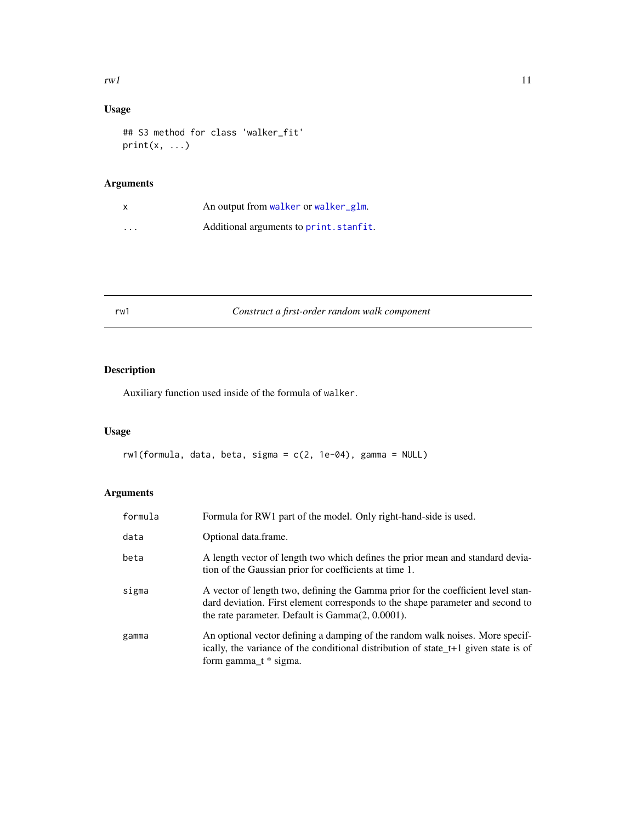#### <span id="page-10-0"></span> $rwl$  11

# Usage

## S3 method for class 'walker\_fit'  $print(x, \ldots)$ 

# Arguments

| x        | An output from walker or walker glm.    |
|----------|-----------------------------------------|
| $\cdots$ | Additional arguments to print. stanfit. |

rw1 *Construct a first-order random walk component*

# Description

Auxiliary function used inside of the formula of walker.

# Usage

```
rw1(formula, data, beta, sigma = c(2, 1e-04), gamma = NULL)
```

| formula | Formula for RW1 part of the model. Only right-hand-side is used.                                                                                                                                                          |
|---------|---------------------------------------------------------------------------------------------------------------------------------------------------------------------------------------------------------------------------|
| data    | Optional data.frame.                                                                                                                                                                                                      |
| beta    | A length vector of length two which defines the prior mean and standard devia-<br>tion of the Gaussian prior for coefficients at time 1.                                                                                  |
| sigma   | A vector of length two, defining the Gamma prior for the coefficient level stan-<br>dard deviation. First element corresponds to the shape parameter and second to<br>the rate parameter. Default is $Gamma(2, 0.0001)$ . |
| gamma   | An optional vector defining a damping of the random walk noises. More specif-<br>ically, the variance of the conditional distribution of state_t+1 given state is of<br>form gamma $t *$ sigma.                           |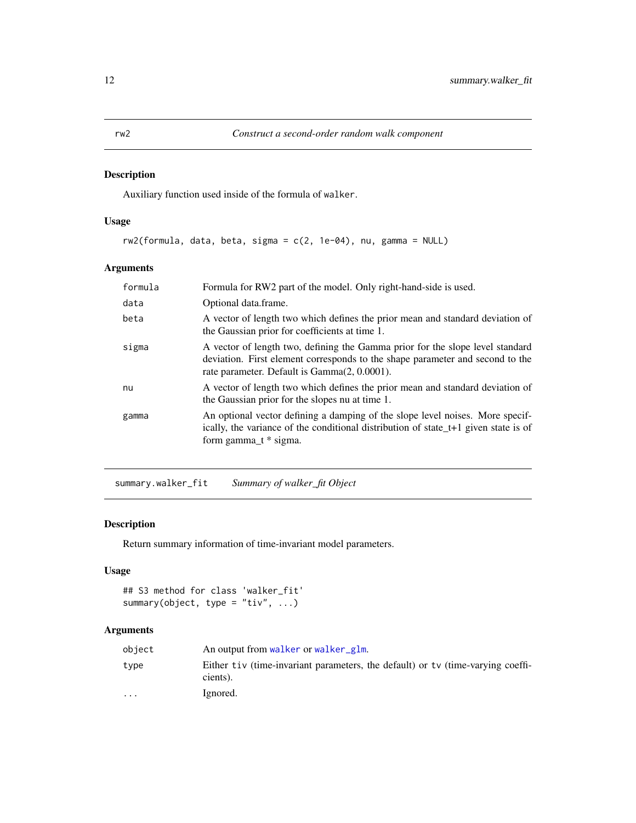#### <span id="page-11-0"></span>Description

Auxiliary function used inside of the formula of walker.

# Usage

 $rw2$ (formula, data, beta, sigma =  $c(2, 1e-04)$ , nu, gamma = NULL)

# Arguments

| formula | Formula for RW2 part of the model. Only right-hand-side is used.                                                                                                                                                   |
|---------|--------------------------------------------------------------------------------------------------------------------------------------------------------------------------------------------------------------------|
| data    | Optional data.frame.                                                                                                                                                                                               |
| beta    | A vector of length two which defines the prior mean and standard deviation of<br>the Gaussian prior for coefficients at time 1.                                                                                    |
| sigma   | A vector of length two, defining the Gamma prior for the slope level standard<br>deviation. First element corresponds to the shape parameter and second to the<br>rate parameter. Default is Gamma $(2, 0.0001)$ . |
| nu      | A vector of length two which defines the prior mean and standard deviation of<br>the Gaussian prior for the slopes nu at time 1.                                                                                   |
| gamma   | An optional vector defining a damping of the slope level noises. More specif-<br>ically, the variance of the conditional distribution of state t+1 given state is of<br>form gamma $t *$ sigma.                    |

summary.walker\_fit *Summary of walker\_fit Object*

# Description

Return summary information of time-invariant model parameters.

# Usage

```
## S3 method for class 'walker_fit'
summary(object, type = "tiv", ...)
```

| object                  | An output from walker or walker glm.                                                        |
|-------------------------|---------------------------------------------------------------------------------------------|
| type                    | Either tiv (time-invariant parameters, the default) or ty (time-varying coeffi-<br>cients). |
| $\cdot$ $\cdot$ $\cdot$ | Ignored.                                                                                    |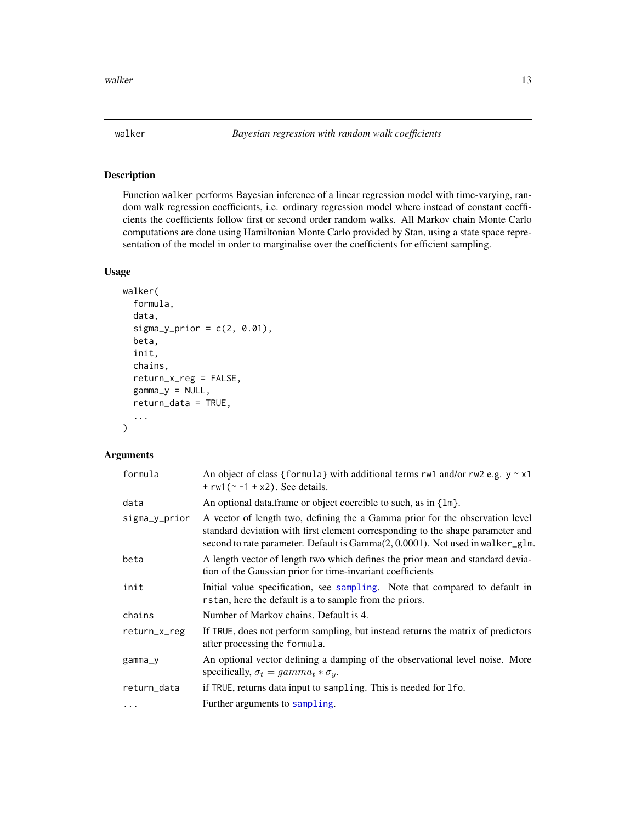#### Description

Function walker performs Bayesian inference of a linear regression model with time-varying, random walk regression coefficients, i.e. ordinary regression model where instead of constant coefficients the coefficients follow first or second order random walks. All Markov chain Monte Carlo computations are done using Hamiltonian Monte Carlo provided by Stan, using a state space representation of the model in order to marginalise over the coefficients for efficient sampling.

#### Usage

```
walker(
  formula,
  data,
  signa_y_prior = c(2, 0.01),beta,
  init,
  chains,
  return_x_reg = FALSE,
  gamma_y = NULL,return_data = TRUE,
  ...
)
```

| formula       | An object of class {formula} with additional terms $rw1$ and/or $rw2$ e.g. $y \sim x1$<br>+ $rw1$ ( $\sim$ -1 + x2). See details.                                                                                                                |
|---------------|--------------------------------------------------------------------------------------------------------------------------------------------------------------------------------------------------------------------------------------------------|
| data          | An optional data frame or object coercible to such, as in {lm}.                                                                                                                                                                                  |
| sigma_y_prior | A vector of length two, defining the a Gamma prior for the observation level<br>standard deviation with first element corresponding to the shape parameter and<br>second to rate parameter. Default is Gamma(2, 0.0001). Not used in walker_glm. |
| beta          | A length vector of length two which defines the prior mean and standard devia-<br>tion of the Gaussian prior for time-invariant coefficients                                                                                                     |
| init          | Initial value specification, see sampling. Note that compared to default in<br>rstan, here the default is a to sample from the priors.                                                                                                           |
| chains        | Number of Markov chains. Default is 4.                                                                                                                                                                                                           |
| return_x_reg  | If TRUE, does not perform sampling, but instead returns the matrix of predictors<br>after processing the formula.                                                                                                                                |
| gamma_y       | An optional vector defining a damping of the observational level noise. More<br>specifically, $\sigma_t = gamma_t * \sigma_y$ .                                                                                                                  |
| return_data   | if TRUE, returns data input to sampling. This is needed for 1 fo.                                                                                                                                                                                |
| $\cdots$      | Further arguments to sampling.                                                                                                                                                                                                                   |

<span id="page-12-1"></span><span id="page-12-0"></span>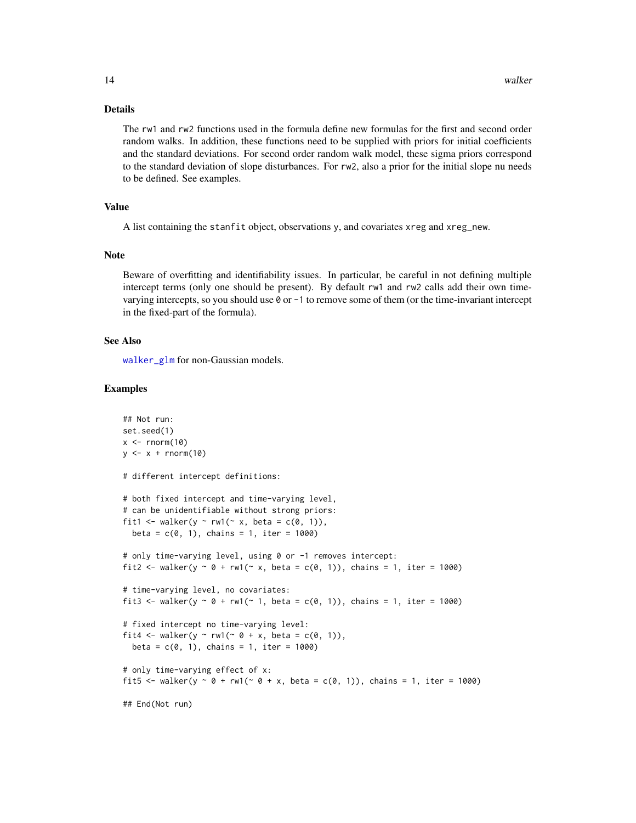#### <span id="page-13-0"></span>Details

The rw1 and rw2 functions used in the formula define new formulas for the first and second order random walks. In addition, these functions need to be supplied with priors for initial coefficients and the standard deviations. For second order random walk model, these sigma priors correspond to the standard deviation of slope disturbances. For rw2, also a prior for the initial slope nu needs to be defined. See examples.

# Value

A list containing the stanfit object, observations y, and covariates xreg and xreg\_new.

#### Note

Beware of overfitting and identifiability issues. In particular, be careful in not defining multiple intercept terms (only one should be present). By default rw1 and rw2 calls add their own timevarying intercepts, so you should use 0 or -1 to remove some of them (or the time-invariant intercept in the fixed-part of the formula).

#### See Also

[walker\\_glm](#page-15-1) for non-Gaussian models.

#### Examples

```
## Not run:
set.seed(1)
x < - rnorm(10)
y \leftarrow x + \text{rnorm}(10)# different intercept definitions:
# both fixed intercept and time-varying level,
# can be unidentifiable without strong priors:
fit1 <- walker(y ~ rw1(~ x, beta = c(\emptyset, 1)),
  beta = c(0, 1), chains = 1, iter = 1000)
# only time-varying level, using 0 or -1 removes intercept:
fit2 <- walker(y \sim \theta + rw1(\sim x, beta = c(0, 1)), chains = 1, iter = 1000)
# time-varying level, no covariates:
fit3 <- walker(y \sim 0 + rw1(\sim 1, beta = c(0, 1)), chains = 1, iter = 1000)
# fixed intercept no time-varying level:
fit4 <- walker(y ~ rw1(~ 0 + x, beta = c(0, 1)),
  beta = c(0, 1), chains = 1, iter = 1000)
# only time-varying effect of x:
fit5 <- walker(y \sim 0 + rw1(\sim 0 + x, beta = c(0, 1)), chains = 1, iter = 1000)
## End(Not run)
```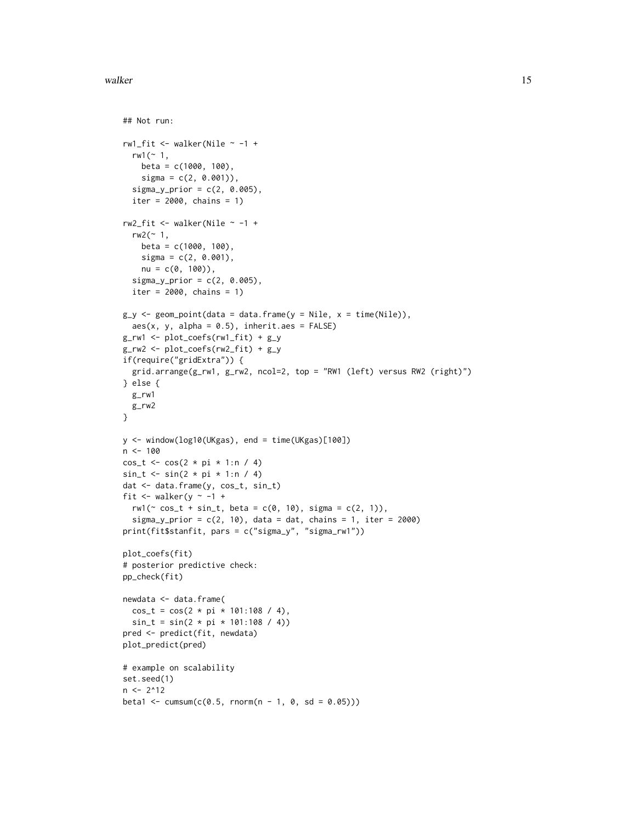walker the contract of the contract of the contract of the contract of the contract of the contract of the contract of the contract of the contract of the contract of the contract of the contract of the contract of the con

```
## Not run:
rw1_fit <- walker(Nile \sim -1 +
 rw1 ( ~ 1,beta = c(1000, 100),
    signa = c(2, 0.001)),signa_y_prior = c(2, 0.005),
  iter = 2000, chains = 1)rw2_fit <- walker(Nile ~ -1 +
  rw2 (~1,~beta = c(1000, 100),
    signa = c(2, 0.001),
    nu = c(0, 100),
  signa_y_prior = c(2, 0.005),
  iter = 2000, chains = 1)
g_y \leftarrow geom_point(data = data.frame(y = Nile, x = time(Nile)),
  aes(x, y, alpha = 0.5), inherit.aes = FALSE)
g_r w1 \leftarrow plot\_coeffs(rw1_fit) + g_yg_rw2 \leftarrow plot\_coeffs(rw2_fit) + g_yif(require("gridExtra")) {
  grid.arrange(g_rw1, g_rw2, ncol=2, top = "RW1 (left) versus RW2 (right)")
} else {
 g_rw1
 g_rw2
}
y <- window(log10(UKgas), end = time(UKgas)[100])
n < -100cos_t < -cos(2 * pi * 1:n / 4)sin_t < - sin(2 * pi * 1:n / 4)dat <- data.frame(y, cos_t, sin_t)
fit \le walker(y \sim -1 +
  rw1(\sim cos_t + sin_t, beta = c(0, 10), sigma = c(2, 1)),
  sigma_y_prior = c(2, 10), data = dat, chains = 1, iter = 2000)
print(fit$stanfit, pars = c("sigma_y", "sigma_rw1"))
plot_coefs(fit)
# posterior predictive check:
pp_check(fit)
newdata <- data.frame(
 cos_t = cos(2 * pi * 101:108 / 4),sin_t = sin(2 * pi * 101:108 / 4)pred <- predict(fit, newdata)
plot_predict(pred)
# example on scalability
set.seed(1)
n < -2^12beta1 <- cumsum(c(0.5, \text{norm}(n - 1, 0, \text{sd} = 0.05)))
```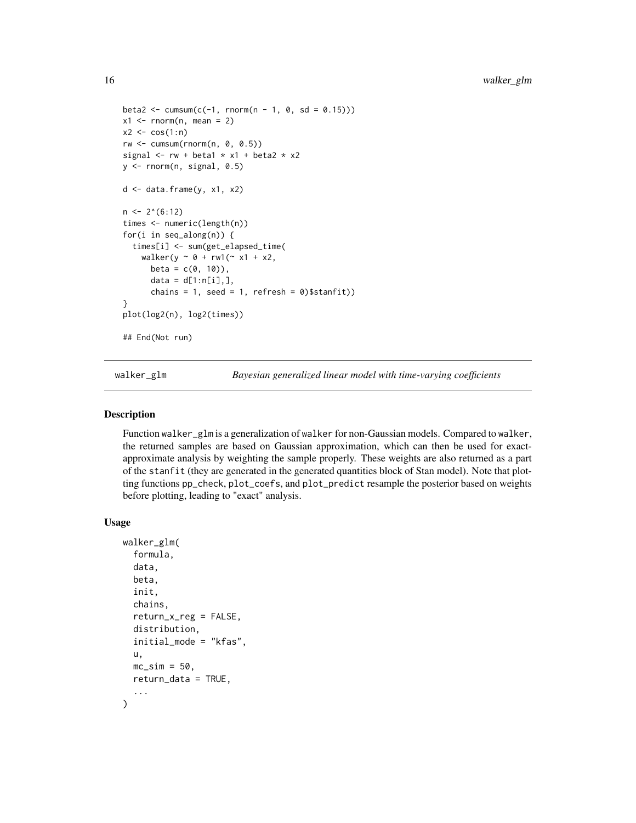```
beta2 \le -\text{cumsum}(c(-1, \text{norm}(n - 1, 0, \text{sd} = 0.15)))x1 \leq -rnorm(n, mean = 2)x2 \leq -\cos(1:n)rw < -cumsum(rnorm(n, 0, 0.5))signal \leq -rw + beta1 \times x1 + beta2 \times x2y <- rnorm(n, signal, 0.5)
d \leftarrow data-frame(y, x1, x2)n \leq 2^(6:12)times <- numeric(length(n))
for(i in seq_along(n)) {
  times[i] <- sum(get_elapsed_time(
    walker(y \sim 0 + rw1(\sim x1 + x2,
      beta = c(0, 10),
      data = d[1:n[i],],chains = 1, seed = 1, refresh = \emptyset)$stanfit))
}
plot(log2(n), log2(times))
## End(Not run)
```
<span id="page-15-1"></span>walker\_glm *Bayesian generalized linear model with time-varying coefficients*

#### Description

Function walker\_glm is a generalization of walker for non-Gaussian models. Compared to walker, the returned samples are based on Gaussian approximation, which can then be used for exactapproximate analysis by weighting the sample properly. These weights are also returned as a part of the stanfit (they are generated in the generated quantities block of Stan model). Note that plotting functions pp\_check, plot\_coefs, and plot\_predict resample the posterior based on weights before plotting, leading to "exact" analysis.

#### Usage

```
walker_glm(
  formula,
  data,
 beta,
  init,
  chains,
  return_x_reg = FALSE,
  distribution,
  initial_mode = "kfas",
 u,
 mc\_sim = 50.
 return_data = TRUE,
  ...
)
```
<span id="page-15-0"></span>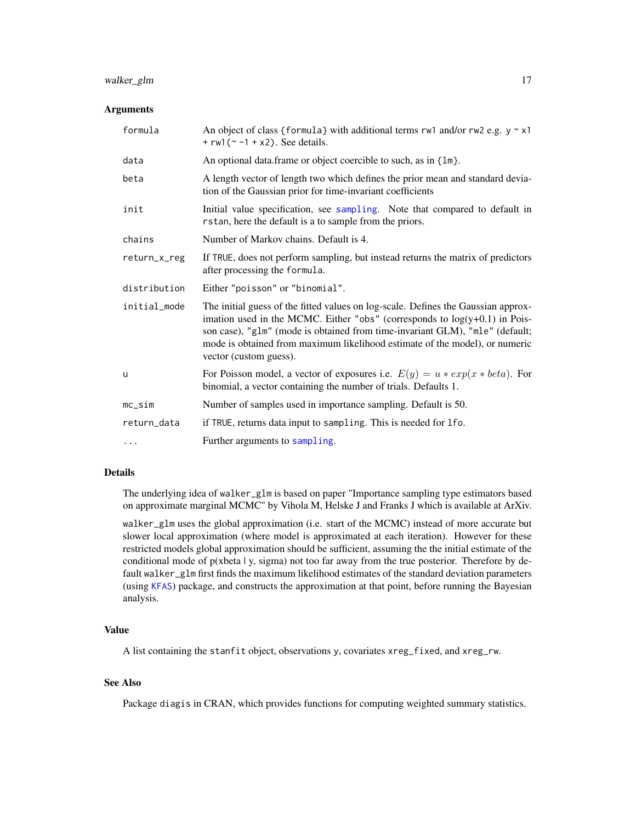# <span id="page-16-0"></span>walker\_glm 17

#### Arguments

| formula      | An object of class {formula} with additional terms rw1 and/or rw2 e.g. $y \sim x1$<br>+ $rw1$ ( $\sim$ -1 + x2). See details.                                                                                                                                                                                                                              |
|--------------|------------------------------------------------------------------------------------------------------------------------------------------------------------------------------------------------------------------------------------------------------------------------------------------------------------------------------------------------------------|
| data         | An optional data.frame or object coercible to such, as in {lm}.                                                                                                                                                                                                                                                                                            |
| beta         | A length vector of length two which defines the prior mean and standard devia-<br>tion of the Gaussian prior for time-invariant coefficients                                                                                                                                                                                                               |
| init         | Initial value specification, see sampling. Note that compared to default in<br>rstan, here the default is a to sample from the priors.                                                                                                                                                                                                                     |
| chains       | Number of Markov chains. Default is 4.                                                                                                                                                                                                                                                                                                                     |
| return_x_reg | If TRUE, does not perform sampling, but instead returns the matrix of predictors<br>after processing the formula.                                                                                                                                                                                                                                          |
| distribution | Either "poisson" or "binomial".                                                                                                                                                                                                                                                                                                                            |
| initial_mode | The initial guess of the fitted values on log-scale. Defines the Gaussian approx-<br>imation used in the MCMC. Either "obs" (corresponds to $log(y+0.1)$ in Pois-<br>son case), "glm" (mode is obtained from time-invariant GLM), "mle" (default;<br>mode is obtained from maximum likelihood estimate of the model), or numeric<br>vector (custom guess). |
| u            | For Poisson model, a vector of exposures i.e. $E(y) = u * exp(x * beta)$ . For<br>binomial, a vector containing the number of trials. Defaults 1.                                                                                                                                                                                                          |
| $mc$ _sim    | Number of samples used in importance sampling. Default is 50.                                                                                                                                                                                                                                                                                              |
| return_data  | if TRUE, returns data input to sampling. This is needed for lfo.                                                                                                                                                                                                                                                                                           |
| $\cdots$     | Further arguments to sampling.                                                                                                                                                                                                                                                                                                                             |

#### Details

The underlying idea of walker\_glm is based on paper "Importance sampling type estimators based on approximate marginal MCMC" by Vihola M, Helske J and Franks J which is available at ArXiv.

walker\_glm uses the global approximation (i.e. start of the MCMC) instead of more accurate but slower local approximation (where model is approximated at each iteration). However for these restricted models global approximation should be sufficient, assuming the the initial estimate of the conditional mode of  $p(xbeta \mid y, sigma)$  not too far away from the true posterior. Therefore by default walker\_glm first finds the maximum likelihood estimates of the standard deviation parameters (using [KFAS](#page-0-0)) package, and constructs the approximation at that point, before running the Bayesian analysis.

#### Value

A list containing the stanfit object, observations y, covariates xreg\_fixed, and xreg\_rw.

#### See Also

Package diagis in CRAN, which provides functions for computing weighted summary statistics.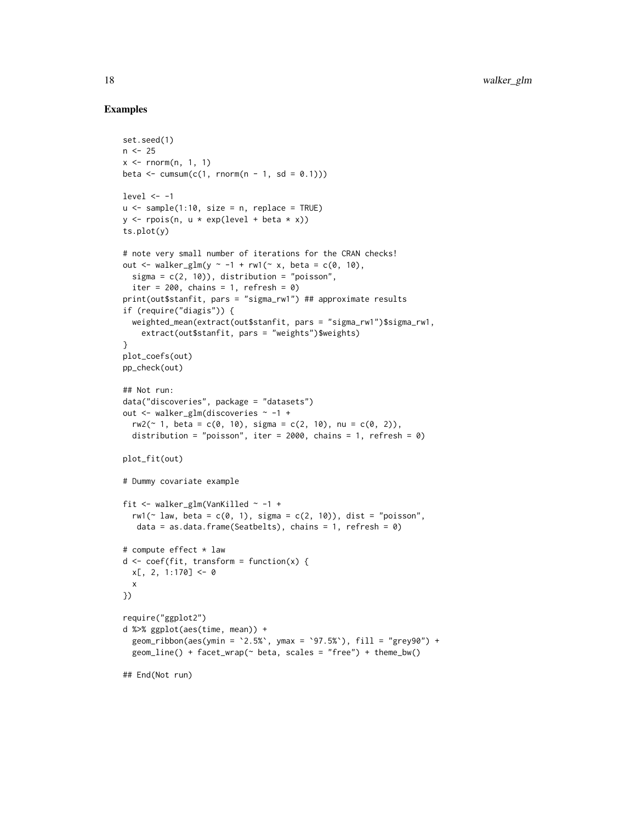#### Examples

```
set.seed(1)
n < -25x \leq -rnorm(n, 1, 1)beta \leq cumsum(c(1, rnorm(n - 1, sd = 0.1)))
level <-1u \le - sample(1:10, size = n, replace = TRUE)
y \le - rpois(n, u * exp(level + beta * x))ts.plot(y)
# note very small number of iterations for the CRAN checks!
out \le walker_glm(y \sim -1 + rw1(\sim x, beta = c(0, 10),
 sigma = c(2, 10), distribution = "poisson",
  iter = 200, chains = 1, refresh = 0)
print(out$stanfit, pars = "sigma_rw1") ## approximate results
if (require("diagis")) {
  weighted_mean(extract(out$stanfit, pars = "sigma_rw1")$sigma_rw1,
    extract(out$stanfit, pars = "weights")$weights)
}
plot_coefs(out)
pp_check(out)
## Not run:
data("discoveries", package = "datasets")
out <- walker_glm(discoveries ~ -1 +
 rw2(\sim 1, beta = c(0, 10), sigma = c(2, 10), nu = c(0, 2)),
  distribution = "poisson", iter = 2000, chains = 1, refresh = 0)
plot_fit(out)
# Dummy covariate example
fit \le walker_glm(VanKilled \sim -1 +
  rw1(~ law, beta = c(0, 1), sigma = c(2, 10)), dist = "poisson",
  data = as.data.frame(Seatbelts), chains = 1, refresh = 0)
# compute effect * law
d \leq coef(fit, transform = function(x) {
 x[, 2, 1:170] < -0x
})
require("ggplot2")
d %>% ggplot(aes(time, mean)) +
  geom_ribbon(aes(ymin = `2.5%`, ymax = `97.5%`), fill = "grey90") +
  geom\_line() + face\_wrap(\sim beta, scales = "free") + theme_bw()## End(Not run)
```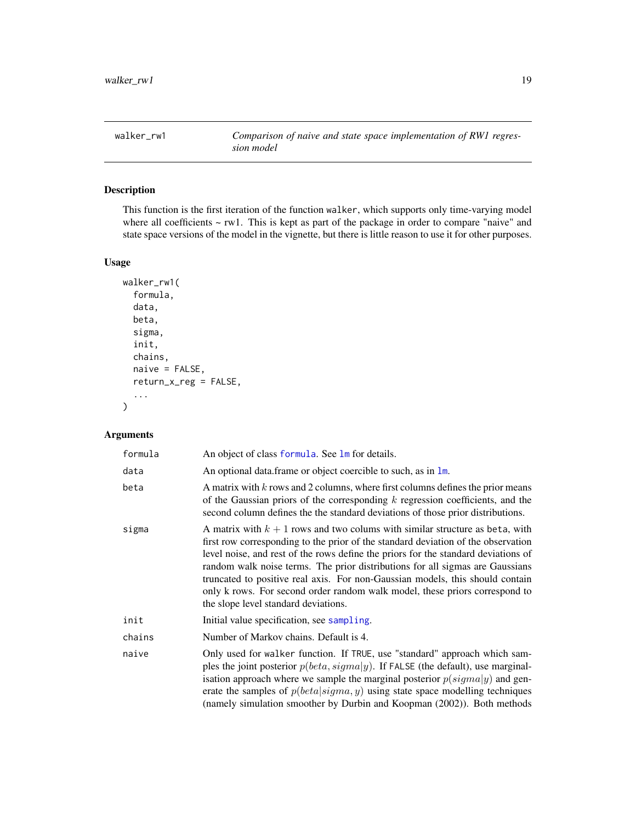<span id="page-18-0"></span>

# Description

This function is the first iteration of the function walker, which supports only time-varying model where all coefficients ~ rw1. This is kept as part of the package in order to compare "naive" and state space versions of the model in the vignette, but there is little reason to use it for other purposes.

# Usage

```
walker_rw1(
  formula,
  data,
  beta,
  sigma,
  init,
  chains,
  naive = FALSE,return_x_reg = FALSE,
  ...
\mathcal{L}
```

| formula | An object of class formula. See lm for details.                                                                                                                                                                                                                                                                                                                                                                                                                                                                                                    |
|---------|----------------------------------------------------------------------------------------------------------------------------------------------------------------------------------------------------------------------------------------------------------------------------------------------------------------------------------------------------------------------------------------------------------------------------------------------------------------------------------------------------------------------------------------------------|
| data    | An optional data frame or object coercible to such, as in $\text{Im}$ .                                                                                                                                                                                                                                                                                                                                                                                                                                                                            |
| beta    | A matrix with k rows and 2 columns, where first columns defines the prior means<br>of the Gaussian priors of the corresponding $k$ regression coefficients, and the<br>second column defines the the standard deviations of those prior distributions.                                                                                                                                                                                                                                                                                             |
| sigma   | A matrix with $k + 1$ rows and two colums with similar structure as beta, with<br>first row corresponding to the prior of the standard deviation of the observation<br>level noise, and rest of the rows define the priors for the standard deviations of<br>random walk noise terms. The prior distributions for all sigmas are Gaussians<br>truncated to positive real axis. For non-Gaussian models, this should contain<br>only k rows. For second order random walk model, these priors correspond to<br>the slope level standard deviations. |
| init    | Initial value specification, see sampling.                                                                                                                                                                                                                                                                                                                                                                                                                                                                                                         |
| chains  | Number of Markov chains. Default is 4.                                                                                                                                                                                                                                                                                                                                                                                                                                                                                                             |
| naive   | Only used for walker function. If TRUE, use "standard" approach which sam-<br>ples the joint posterior $p(beta, sigma y)$ . If FALSE (the default), use marginal-<br>isation approach where we sample the marginal posterior $p(signa y)$ and gen-<br>erate the samples of $p(beta sigma, y)$ using state space modelling techniques<br>(namely simulation smoother by Durbin and Koopman (2002)). Both methods                                                                                                                                    |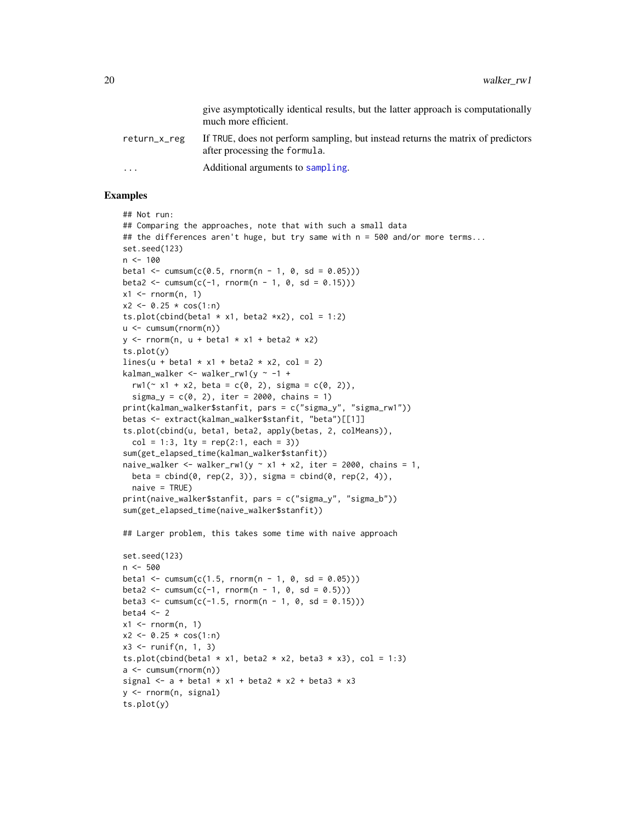<span id="page-19-0"></span>

|                         | give asymptotically identical results, but the latter approach is computationally<br>much more efficient.         |
|-------------------------|-------------------------------------------------------------------------------------------------------------------|
| return_x_reg            | If TRUE, does not perform sampling, but instead returns the matrix of predictors<br>after processing the formula. |
| $\cdot$ $\cdot$ $\cdot$ | Additional arguments to sampling.                                                                                 |

#### Examples

```
## Not run:
## Comparing the approaches, note that with such a small data
## the differences aren't huge, but try same with n = 500 and/or more terms...
set.seed(123)
n <- 100
beta1 <- cumsum(c(0.5, rnorm(n - 1, 0, sd = 0.05)))
beta2 \le -\text{cumsum}(c(-1, \text{norm}(n - 1, 0, sd = 0.15)))x1 \leq -rnorm(n, 1)x2 \le -0.25 \times \cos(1:n)ts.plot(cbind(beta1 * x1, beta2 *x2), col = 1:2)
u <- cumsum(rnorm(n))
y \le - rnorm(n, u + beta1 * x1 + beta2 * x2)
ts.plot(y)
lines(u + beta1 * x1 + beta2 * x2, col = 2)
kalman_walker <- walker_rw1(y \sim -1 +
  rw1( \times x1 + x2, beta = c(0, 2), sigma = c(0, 2)),
  signa_y = c(0, 2), iter = 2000, chains = 1)
print(kalman_walker$stanfit, pars = c("sigma_y", "sigma_rw1"))
betas <- extract(kalman_walker$stanfit, "beta")[[1]]
ts.plot(cbind(u, beta1, beta2, apply(betas, 2, colMeans)),
  col = 1:3, lty = rep(2:1, each = 3)sum(get_elapsed_time(kalman_walker$stanfit))
naive_walker <- walker_rw1(y ~ x1 + x2, iter = 2000, chains = 1,
  beta = cbind(0, rep(2, 3)), sigma = cbind(0, rep(2, 4)),
  naive = TRUE)
print(naive_walker$stanfit, pars = c("sigma_y", "sigma_b"))
sum(get_elapsed_time(naive_walker$stanfit))
## Larger problem, this takes some time with naive approach
set.seed(123)
n <- 500
beta1 <- cumsum(c(1.5, rnorm(n - 1, 0, sd = (0.05)))
beta2 \le -\text{cumsum}(c(-1, \text{norm}(n - 1, 0, \text{sd} = 0.5)))beta3 <- cumsum(c(-1.5, rnorm(n - 1, 0, sd = 0.15)))
beta4 <-2x1 \leq -rnorm(n, 1)
```

```
x2 \le -0.25 * cos(1:n)x3 \le runif(n, 1, 3)
```

```
ts.plot(cbind(beta1 * x1, beta2 * x2, beta3 * x3), col = 1:3)
a <- cumsum(rnorm(n))
signal \leq - a + beta1 * x1 + beta2 * x2 + beta3 * x3
y <- rnorm(n, signal)
ts.plot(y)
```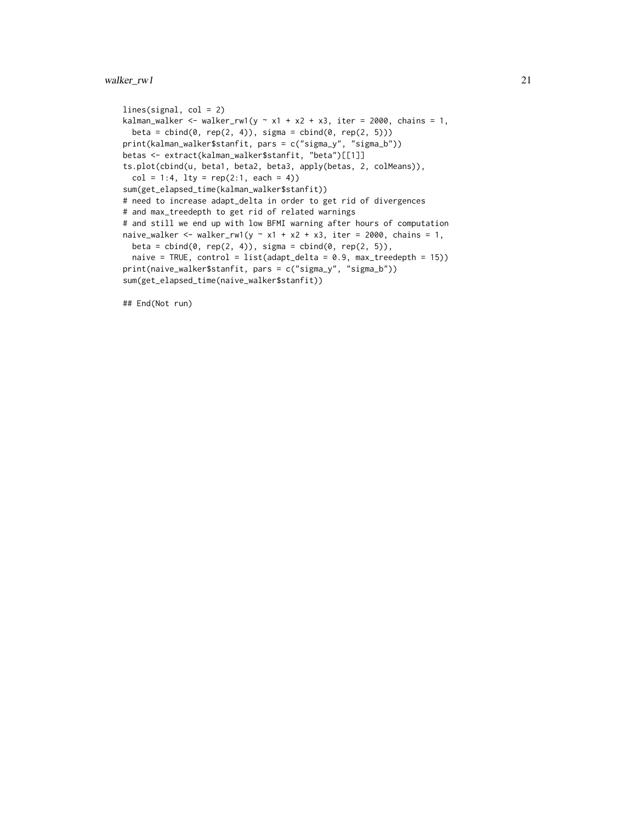# walker\_rw1 21

```
lines(signal, col = 2)kalman_walker <- walker_rw1(y ~ x1 + x2 + x3, iter = 2000, chains = 1,
 beta = cbind(\emptyset, rep(2, 4)), sigma = cbind(\emptyset, rep(2, 5)))print(kalman_walker$stanfit, pars = c("sigma_y", "sigma_b"))
betas <- extract(kalman_walker$stanfit, "beta")[[1]]
ts.plot(cbind(u, beta1, beta2, beta3, apply(betas, 2, colMeans)),
  col = 1:4, lty = rep(2:1, each = 4)sum(get_elapsed_time(kalman_walker$stanfit))
# need to increase adapt_delta in order to get rid of divergences
# and max_treedepth to get rid of related warnings
# and still we end up with low BFMI warning after hours of computation
naive_walker <- walker_rw1(y \sim x1 + x2 + x3, iter = 2000, chains = 1,
  beta = cbind(0, rep(2, 4)), sigma = cbind(0, rep(2, 5)),
  naive = TRUE, control = list(adapt_delta = 0.9, max_treedepth = 15))
print(naive_walker$stanfit, pars = c("sigma_y", "sigma_b"))
sum(get_elapsed_time(naive_walker$stanfit))
```
## End(Not run)